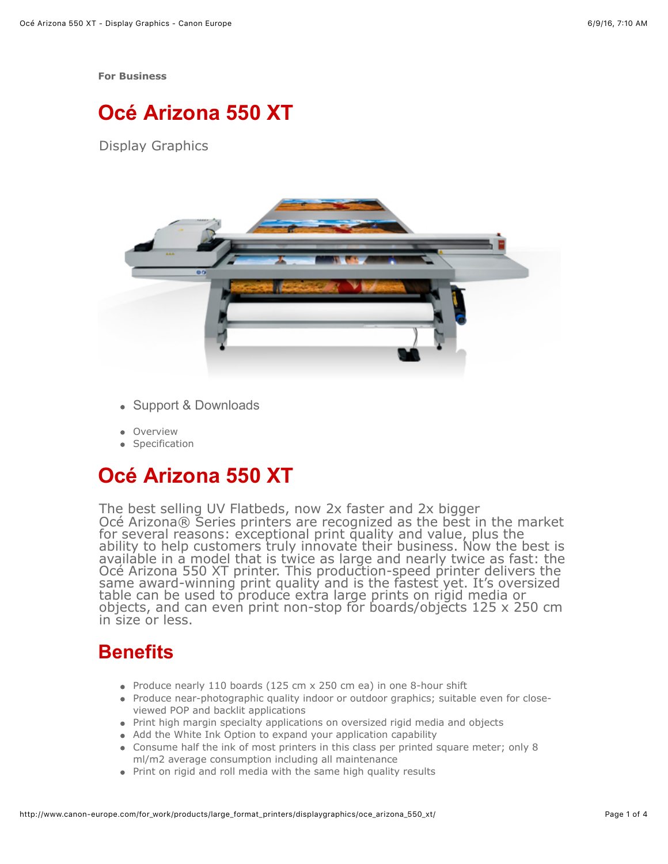**[For Business](http://www.canon-europe.com/for_work/)**

# **Océ Arizona 550 XT**

Display Graphics



- [Support & Downloads](http://downloads.oce.com/ProductDownloads/Index/38)
- [Overview](http://www.canon-europe.com/for_work/products/large_format_printers/displaygraphics/oce_arizona_550_xt/#p-overview)
- [Specification](http://www.canon-europe.com/for_work/products/large_format_printers/displaygraphics/oce_arizona_550_xt/#p-specification)

# **Océ Arizona 550 XT**

The best selling UV Flatbeds, now 2x faster and 2x bigger Océ Arizona® Series printers are recognized as the best in the market for several reasons: exceptional print quality and value, plus the<br>ability to help customers truly innovate their business. Now the best is available in a model that is twice as large and nearly twice as fast: the Océ Arizona 550 XT printer. This production-speed printer delivers the same award-winning print quality and is the fastest yet. It's oversized table can be used to produce extra large prints on rigid media or objects, and can even print non-stop for boards/objects 125 x 250 cm in size or less.

### **Benefits**

- Produce nearly 110 boards (125 cm  $\times$  250 cm ea) in one 8-hour shift
- Produce near-photographic quality indoor or outdoor graphics; suitable even for closeviewed POP and backlit applications
- Print high margin specialty applications on oversized rigid media and objects
- Add the White Ink Option to expand your application capability
- Consume half the ink of most printers in this class per printed square meter; only 8 ml/m2 average consumption including all maintenance
- Print on rigid and roll media with the same high quality results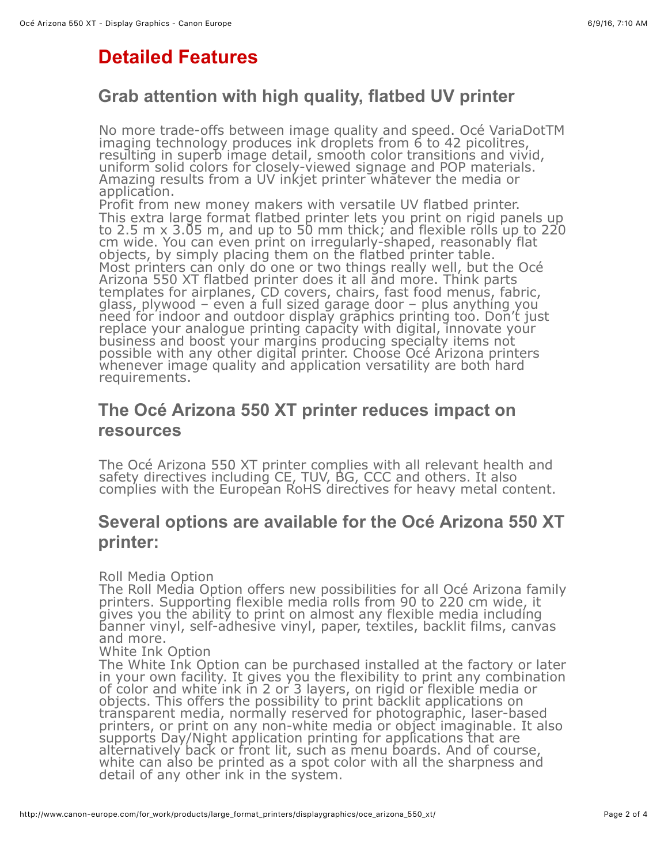## **Detailed Features**

#### **Grab attention with high quality, flatbed UV printer**

No more trade-offs between image quality and speed. Océ VariaDotTM imaging technology produces ink droplets from 6 to 42 picolitres, resulting in superb image detail, smooth color transitions and vivid, uniform solid colors for closely-viewed signage and POP materials. Amazing results from a UV inkjet printer whatever the media or application.

Profit from new money makers with versatile UV flatbed printer. This extra large format flatbed printer lets you print on rigid panels up to 2.5 m x 3.05 m, and up to 50 mm thick; and flexible rolls up to 220 cm wide. You can even print on irregularly-shaped, reasonably flat objects, by simply placing them on the flatbed printer table. Most printers can only do one or two things really well, but the Océ Arizona 550 XT flatbed printer does it all and more. Think parts templates for airplanes, CD covers, chairs, fast food menus, fabric, glass, plywood – even a full sized garage door – plus anything you need for indoor and outdoor display graphics printing too. Don't just replace your analogue printing capacity with digital, innovate your business and boost your margins producing specialty items not possible with any other digital printer. Choose Océ Arizona printers whenever image quality and application versatility are both hard requirements.

#### **The Océ Arizona 550 XT printer reduces impact on resources**

The Océ Arizona 550 XT printer complies with all relevant health and safety directives including CE, TUV, BG, CCC and others. It also complies with the European RoHS directives for heavy metal content.

#### **Several options are available for the Océ Arizona 550 XT printer:**

Roll Media Option

The Roll Media Option offers new possibilities for all Océ Arizona family printers. Supporting flexible media rolls from 90 to 220 cm wide, it gives you the ability to print on almost any flexible media including banner vinyl, self-adhesive vinyl, paper, textiles, backlit films, canvas and more.

White Ink Option

The White Ink Option can be purchased installed at the factory or later in your own facility. It gives you the flexibility to print any combination of color and white ink in 2 or 3 layers, on rigid or flexible media or objects. This offers the possibility to print backlit applications on transparent media, normally reserved for photographic, laser-based printers, or print on any non-white media or object imaginable. It also supports Day/Night application printing for applications that are alternatively back or front lit, such as menu boards. And of course, white can also be printed as a spot color with all the sharpness and detail of any other ink in the system.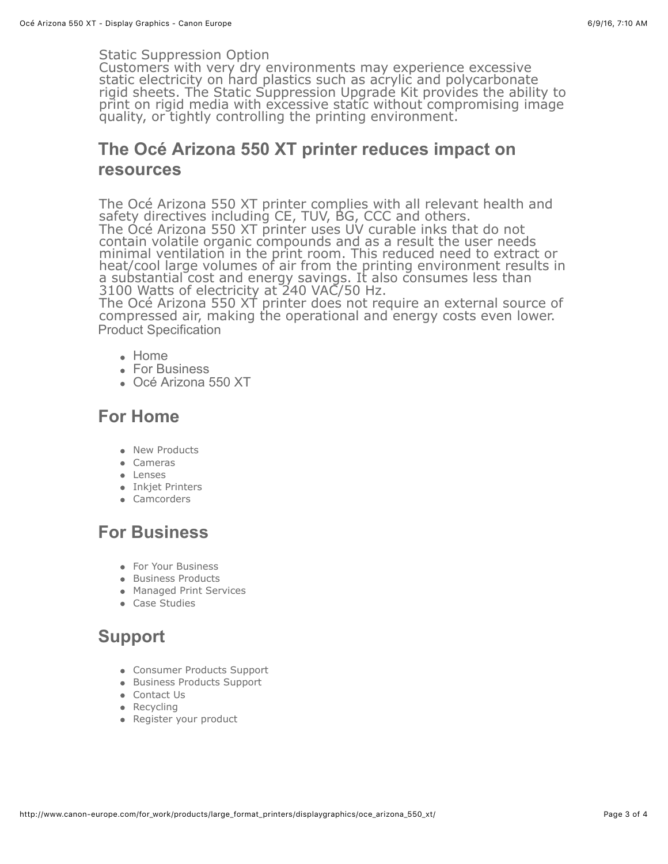#### Static Suppression Option

Customers with very dry environments may experience excessive static electricity on hard plastics such as acrylic and polycarbonate rigid sheets. The Static Suppression Upgrade Kit provides the ability to<br>print on rigid media with excessive static without compromising image<br>quality, or tightly controlling the printing environment.

#### **The Océ Arizona 550 XT printer reduces impact on resources**

The Océ Arizona 550 XT printer complies with all relevant health and safety directives including CE, TUV, BG, CCC and others. The Océ Arizona 550 XT printer uses UV curable inks that do not contain volatile organic compounds and as a result the user needs minimal ventilation in the print room. This reduced need to extract or heat/cool large volumes of air from the printing environment results in a substantial cost and energy savings. It also consumes less than 3100 Watts of electricity at 240 VAC/50 Hz.

The Océ Arizona 550 XT printer does not require an external source of compressed air, making the operational and energy costs even lower. [Product Specification](http://www.canon-europe.com/for_work/products/large_format_printers/displaygraphics/oce_arizona_550_xt/#p-specification)

- [Home](http://www.canon-europe.com/)
- [For Business](http://www.canon-europe.com/for_work/)
- Océ Arizona 550 XT

#### **For Home**

- [New Products](http://www.canon-europe.com/for_home/newproducts/)
- [Cameras](http://www.canon-europe.com/for_home/product_finder/cameras/)
- [Lenses](http://www.canon-europe.com/for_home/product_finder/cameras/ef_lenses/range/)
- **·** [Inkjet Printers](http://www.canon-europe.com/printers/home-printers/)
- [Camcorders](http://www.canon-europe.com/for_home/product_finder/camcorders/high_definition_hd/)

### **For Business**

- [For Your Business](http://www.canon-europe.com/for_work/)
- **[Business Products](http://www.canon-europe.com/for_work/business-products/)**
- [Managed Print Services](http://www.canon-europe.com/managed_print_services/)
- **[Case Studies](http://www.canon-europe.com/for_work/case-studies/)**

#### **Support**

- [Consumer Products Support](http://www.canon-europe.com/support/)
- [Business Products Support](http://www.canon-europe.com/support/business-product-support/)
- [Contact Us](http://www.canon-europe.com/support/consumer_products/contact_support/)
- Recyclina
- [Register your product](http://www.canon-europe.com/for_home/register_my_product/)